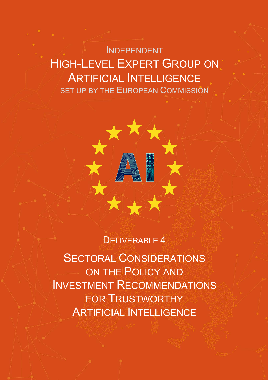INDEPENDENT HIGH-LEVEL EXPERT GROUP ON ARTIFICIAL INTELLIGENCE SET UP BY THE EUROPEAN COMMISSION

### DELIVERABLE 4

SECTORAL CONSIDERATIONS ON THE POLICY AND INVESTMENT RECOMMENDATIONS FOR TRUSTWORTHY ARTIFICIAL INTELLIGENCE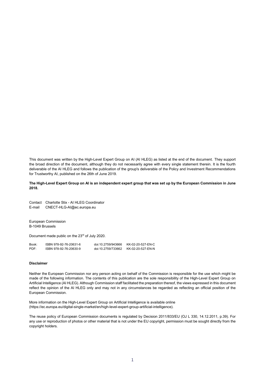This document was written by the High-Level Expert Group on AI (AI HLEG) as listed at the end of the document. They support the broad direction of the document, although they do not necessarily agree with every single statement therein. It is the fourth deliverable of the AI HLEG and follows the publication of the group's deliverable of the Policy and Investment Recommendations for Trustworthy AI, published on the 26th of June 2019.

#### **The High-Level Expert Group on AI is an independent expert group that was set up by the European Commission in June 2018.**

Contact Charlotte Stix - AI HLEG Coordinator E-mail CNECT-HLG-AI@ec.europa.eu

European Commission B-1049 Brussels

Document made public on the 23rd of July 2020.

| Book:            | ISBN 978-92-76-20631-6 | doi:10.2759/943666 | KK-02-20-527-EN-C |
|------------------|------------------------|--------------------|-------------------|
| PDF <sup>.</sup> | ISBN 978-92-76-20630-9 | doi:10.2759/733662 | KK-02-20-527-EN-N |

#### **Disclaimer**

Neither the European Commission nor any person acting on behalf of the Commission is responsible for the use which might be made of the following information. The contents of this publication are the sole responsibility of the High-Level Expert Group on Artificial Intelligence (AI HLEG). Although Commission staff facilitated the preparation thereof, the views expressed in this document reflect the opinion of the AI HLEG only and may not in any circumstances be regarded as reflecting an official position of the European Commission.

More information on the High-Level Expert Group on Artificial Intelligence is available online (https://ec.europa.eu/digital-single-market/en/high-level-expert-group-artificial-intelligence).

The reuse policy of European Commission documents is regulated by Decision 2011/833/EU (OJ L 330, 14.12.2011, p.39). For any use or reproduction of photos or other material that is not under the EU copyright, permission must be sought directly from the copyright holders.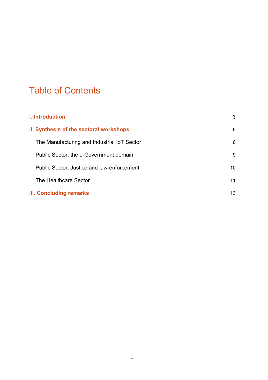# Table of Contents

| I. Introduction                             | 3  |
|---------------------------------------------|----|
| II. Synthesis of the sectoral workshops     | 6  |
| The Manufacturing and Industrial IoT Sector | 6  |
| Public Sector: the e-Government domain      | 9  |
| Public Sector: Justice and law-enforcement  | 10 |
| The Healthcare Sector                       | 11 |
| <b>III. Concluding remarks</b>              | 13 |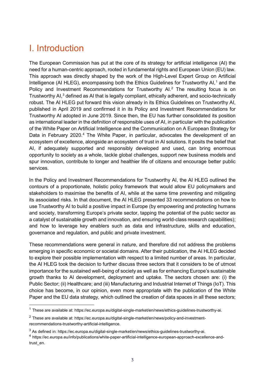## I. Introduction

The European Commission has put at the core of its strategy for artificial intelligence (AI) the need for a human-centric approach, rooted in fundamental rights and European Union (EU) law. This approach was directly shaped by the work of the High-Level Expert Group on Artificial Intelligence (AI HLEG), encompassing both the Ethics Guidelines for Trustworthy AI,<sup>1</sup> and the Policy and Investment Recommendations for Trustworthy AI.<sup>2</sup> The resulting focus is on Trustworthy AI,<sup>3</sup> defined as AI that is legally compliant, ethically adherent, and socio-technically robust. The AI HLEG put forward this vision already in its Ethics Guidelines on Trustworthy AI, published in April 2019 and confirmed it in its Policy and Investment Recommendations for Trustworthy AI adopted in June 2019. Since then, the EU has further consolidated its position as international leader in the definition of responsible uses of AI, in particular with the publication of the White Paper on Artificial Intelligence and the Communication on A European Strategy for Data in February 2020.<sup>4</sup> The White Paper, in particular, advocates the development of an ecosystem of excellence, alongside an ecosystem of trust in AI solutions. It posits the belief that AI, if adequately supported and responsibly developed and used, can bring enormous opportunity to society as a whole, tackle global challenges, support new business models and spur innovation, contribute to longer and healthier life of citizens and encourage better public services.

In the Policy and Investment Recommendations for Trustworthy AI, the AI HLEG outlined the contours of a proportionate, holistic policy framework that would allow EU policymakers and stakeholders to maximise the benefits of AI, while at the same time preventing and mitigating its associated risks. In that document, the AI HLEG presented 33 recommendations on how to use Trustworthy AI to build a positive impact in Europe (by empowering and protecting humans and society, transforming Europe's private sector, tapping the potential of the public sector as a catalyst of sustainable growth and innovation, and ensuring world-class research capabilities); and how to leverage key enablers such as data and infrastructure, skills and education, governance and regulation, and public and private investment.

These recommendations were general in nature, and therefore did not address the problems emerging in specific economic or societal domains. After their publication, the AI HLEG decided to explore their possible implementation with respect to a limited number of areas. In particular, the AI HLEG took the decision to further discuss three sectors that it considers to be of utmost importance for the sustained well-being of society as well as for enhancing Europe's sustainable growth thanks to AI development, deployment and uptake. The sectors chosen are: (i) the Public Sector; (ii) Healthcare; and (iii) Manufacturing and Industrial Internet of Things (IoT). This choice has become, in our opinion, even more appropriate with the publication of the White Paper and the EU data strategy, which outlined the creation of data spaces in all these sectors;

 <sup>1</sup> These are available at: https://ec.europa.eu/digital-single-market/en/news/ethics-guidelines-trustworthy-ai.

<sup>&</sup>lt;sup>2</sup> These are available at: https://ec.europa.eu/digital-single-market/en/news/policy-and-investmentrecommendations-trustworthy-artificial-intelligence.

<sup>&</sup>lt;sup>3</sup> As defined in: https://ec.europa.eu/digital-single-market/en/news/ethics-guidelines-trustworthy-ai.

<sup>4</sup> https://ec.europa.eu/info/publications/white-paper-artificial-intelligence-european-approach-excellence-andtrust\_en.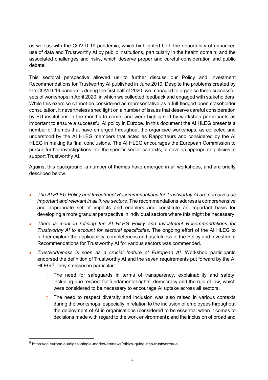as well as with the COVID-19 pandemic, which highlighted both the opportunity of enhanced use of data and Trustworthy AI by public institutions, particularly in the health domain; and the associated challenges and risks, which deserve proper and careful consideration and public debate.

This sectoral perspective allowed us to further discuss our Policy and Investment Recommendations for Trustworthy AI published in June 2019. Despite the problems created by the COVID-19 pandemic during the first half of 2020, we managed to organise three successful sets of workshops in April 2020, in which we collected feedback and engaged with stakeholders. While this exercise cannot be considered as representative as a full-fledged open stakeholder consultation, it nevertheless shed light on a number of issues that deserve careful consideration by EU institutions in the months to come, and were highlighted by workshop participants as important to ensure a successful AI policy in Europe. In this document the AI HLEG presents a number of themes that have emerged throughout the organised workshops, as collected and understood by the AI HLEG members that acted as Rapporteurs and considered by the AI HLEG in making its final conclusions. The AI HLEG encourages the European Commission to pursue further investigations into the specific sector contexts, to develop appropriate policies to support Trustworthy AI.

Against this background, a number of themes have emerged in all workshops, and are briefly described below.

- x *The AI HLEG Policy and Investment Recommendations for Trustworthy AI are perceived as important and relevant in all three sectors.* The recommendations address a comprehensive and appropriate set of impacts and enablers and constitute an important basis for developing a more granular perspective in individual sectors where this might be necessary.
- x *There is merit in refining the AI HLEG Policy and Investment Recommendations for Trustworthy AI to account for sectoral specificities*. The ongoing effort of the AI HLEG to further explore the applicability, completeness and usefulness of the Policy and Investment Recommendations for Trustworthy AI for various sectors was commended.
- x *Trustworthiness is seen as a crucial feature of European AI.* Workshop participants endorsed the definition of Trustworthy AI and the seven requirements put forward by the AI HLEG.<sup>5</sup> They stressed in particular:
	- $\circ$  The need for safeguards in terms of transparency, explainability and safety, including due respect for fundamental rights, democracy and the rule of law, which were considered to be necessary to encourage AI uptake across all sectors.
	- $\circ$  The need to respect diversity and inclusion was also raised in various contexts during the workshops, especially in relation to the inclusion of employees throughout the deployment of AI in organisations (considered to be essential when it comes to decisions made with regard to the work environment); and the inclusion of broad and

 <sup>5</sup> https://ec.europa.eu/digital-single-market/en/news/ethics-guidelines-trustworthy-ai.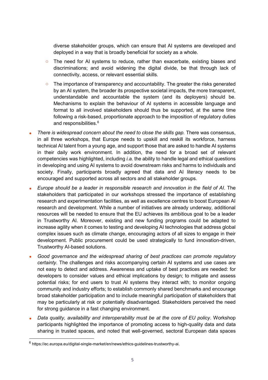diverse stakeholder groups, which can ensure that AI systems are developed and deployed in a way that is broadly beneficial for society as a whole.

- The need for AI systems to reduce, rather than exacerbate, existing biases and discriminations; and avoid widening the digital divide, be that through lack of connectivity, access, or relevant essential skills.
- $\circ$  The importance of transparency and accountability. The greater the risks generated by an AI system, the broader its prospective societal impacts, the more transparent, understandable and accountable the system (and its deployers) should be. Mechanisms to explain the behaviour of AI systems in accessible language and format to all involved stakeholders should thus be supported, at the same time following a risk-based, proportionate approach to the imposition of regulatory duties and responsibilities.<sup>6</sup>
- x *There is widespread concern about the need to close the skills gap.* There was consensus, in all three workshops, that Europe needs to upskill and reskill its workforce, harness technical AI talent from a young age, and support those that are asked to handle AI systems in their daily work environment. In addition, the need for a broad set of relevant competencies was highlighted, including *i.a.* the ability to handle legal and ethical questions in developing and using AI systems to avoid downstream risks and harms to individuals and society. Finally, participants broadly agreed that data and AI literacy needs to be encouraged and supported across all sectors and all stakeholder groups.
- x *Europe should be a leader in responsible research and innovation in the field of AI*. The stakeholders that participated in our workshops stressed the importance of establishing research and experimentation facilities, as well as excellence centres to boost European AI research and development. While a number of initiatives are already underway, additional resources will be needed to ensure that the EU achieves its ambitious goal to be a leader in Trustworthy AI. Moreover, existing and new funding programs could be adapted to increase agility when it comes to testing and developing AI technologies that address global complex issues such as climate change, encouraging actors of all sizes to engage in their development. Public procurement could be used strategically to fund innovation-driven, Trustworthy AI-based solutions.
- x *Good governance and the widespread sharing of best practices can promote regulatory certainty.* The challenges and risks accompanying certain AI systems and use cases are not easy to detect and address. Awareness and uptake of best practices are needed: for developers to consider values and ethical implications by design; to mitigate and assess potential risks; for end users to trust AI systems they interact with; to monitor ongoing community and industry efforts; to establish commonly shared benchmarks and encourage broad stakeholder participation and to include meaningful participation of stakeholders that may be particularly at risk or potentially disadvantaged. Stakeholders perceived the need for strong guidance in a fast changing environment.
- x *Data quality, availability and interoperability must be at the core of EU policy*. Workshop participants highlighted the importance of promoting access to high-quality data and data sharing in trusted spaces, and noted that well-governed, sectoral European data spaces

 <sup>6</sup> https://ec.europa.eu/digital-single-market/en/news/ethics-guidelines-trustworthy-ai.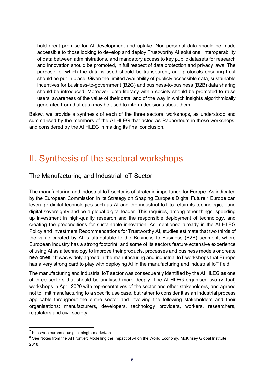hold great promise for AI development and uptake. Non-personal data should be made accessible to those looking to develop and deploy Trustworthy AI solutions. Interoperability of data between administrations, and mandatory access to key public datasets for research and innovation should be promoted, in full respect of data protection and privacy laws. The purpose for which the data is used should be transparent, and protocols ensuring trust should be put in place. Given the limited availability of publicly accessible data, sustainable incentives for business-to-government (B2G) and business-to-business (B2B) data sharing should be introduced. Moreover, data literacy within society should be promoted to raise users' awareness of the value of their data, and of the way in which insights algorithmically generated from that data may be used to inform decisions about them.

Below, we provide a synthesis of each of the three sectoral workshops, as understood and summarised by the members of the AI HLEG that acted as Rapporteurs in those workshops, and considered by the AI HLEG in making its final conclusion.

### II. Synthesis of the sectoral workshops

### The Manufacturing and Industrial IoT Sector

The manufacturing and industrial IoT sector is of strategic importance for Europe. As indicated by the European Commission in its Strategy on Shaping Europe's Digital Future,<sup>7</sup> Europe can leverage digital technologies such as AI and the industrial IoT to retain its technological and digital sovereignty and be a global digital leader. This requires, among other things, speeding up investment in high-quality research and the responsible deployment of technology, and creating the preconditions for sustainable innovation. As mentioned already in the AI HLEG Policy and Investment Recommendations for Trustworthy AI, studies estimate that two thirds of the value created by AI is attributable to the Business to Business (B2B) segment, where European industry has a strong footprint, and some of its sectors feature extensive experience of using AI as a technology to improve their products, processes and business models or create new ones.<sup>8</sup> It was widely agreed in the manufacturing and industrial IoT workshops that Europe has a very strong card to play with deploying AI in the manufacturing and industrial IoT field.

The manufacturing and industrial IoT sector was consequently identified by the AI HLEG as one of three sectors that should be analysed more deeply. The AI HLEG organised two (virtual) workshops in April 2020 with representatives of the sector and other stakeholders, and agreed not to limit manufacturing to a specific use case, but rather to consider it as an industrial process applicable throughout the entire sector and involving the following stakeholders and their organisations: manufacturers, developers, technology providers, workers, researchers, regulators and civil society.

 <sup>7</sup> https://ec.europa.eu/digital-single-market/en.

<sup>&</sup>lt;sup>8</sup> See Notes from the AI Frontier: Modelling the Impact of AI on the World Economy, McKinsey Global Institute, 2018.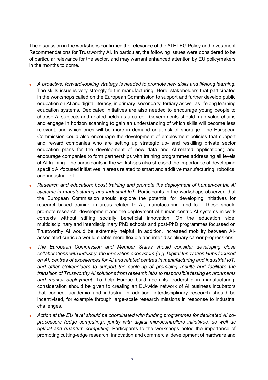The discussion in the workshops confirmed the relevance of the AI HLEG Policy and Investment Recommendations for Trustworthy AI. In particular, the following issues were considered to be of particular relevance for the sector, and may warrant enhanced attention by EU policymakers in the months to come.

- x *A proactive, forward-looking strategy is needed to promote new skills and lifelong learning*. The skills issue is very strongly felt in manufacturing. Here, stakeholders that participated in the workshops called on the European Commission to support and further develop public education on AI and digital literacy, in primary, secondary, tertiary as well as lifelong learning education systems*.* Dedicated initiatives are also needed to encourage young people to choose AI subjects and related fields as a career. Governments should map value chains and engage in horizon scanning to gain an understanding of which skills will become less relevant, and which ones will be more in demand or at risk of shortage. The European Commission could also encourage the development of employment policies that support and reward companies who are setting up strategic up- and reskilling private sector education plans for the development of new data and AI-related applications; and encourage companies to form partnerships with training programmes addressing all levels of AI training. The participants in the workshops also stressed the importance of developing specific AI-focused initiatives in areas related to smart and additive manufacturing, robotics, and industrial IoT.
- x *Research and education: boost training and promote the deployment of human-centric AI systems in manufacturing and industrial IoT.* Participants in the workshops observed that the European Commission should explore the potential for developing initiatives for research-based training in areas related to AI, manufacturing, and IoT. These should promote research, development and the deployment of human-centric AI systems in work contexts without stifling socially beneficial innovation. On the education side, multidisciplinary and interdisciplinary PhD schools and post-PhD programmes focussed on Trustworthy AI would be extremely helpful. In addition, increased mobility between AIassociated curricula would enable more flexible and inter-disciplinary career progressions.
- x *The European Commission and Member States should consider developing close collaborations with industry, the innovation ecosystem (e.g. Digital Innovation Hubs focused on AI, centres of excellences for AI and related centres in manufacturing and industrial IoT) and other stakeholders to support the scale-up of promising results and facilitate the transition of Trustworthy AI solutions from research labs to responsible testing environments and market deployment.* To help Europe build upon its leadership in manufacturing, consideration should be given to creating an EU-wide network of AI business incubators that connect academia and industry. In addition, interdisciplinary research should be incentivised, for example through large-scale research missions in response to industrial challenges.
- x *Action at the EU level should be coordinated with funding programmes for dedicated AI coprocessors (edge computing), jointly with digital microcontrollers initiatives, as well as optical and quantum computing.* Participants to the workshops noted the importance of promoting cutting-edge research, innovation and commercial development of hardware and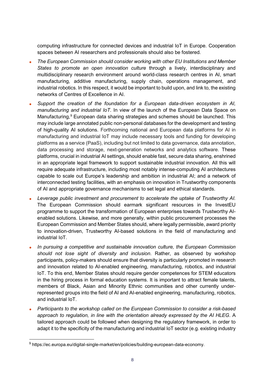computing infrastructure for connected devices and industrial IoT in Europe. Cooperation spaces between AI researchers and professionals should also be fostered.

- x *The European Commission should consider working with other EU Institutions and Member States to promote an open innovation culture* through a lively, interdisciplinary and multidisciplinary research environment around world-class research centres in AI, smart manufacturing, additive manufacturing, supply chain, operations management, and industrial robotics. In this respect, it would be important to build upon, and link to, the existing networks of Centres of Excellence in AI.
- Support the creation of the foundation for a European data-driven ecosystem in AI, *manufacturing and industrial IoT*. In view of the launch of the European Data Space on Manufacturing,<sup>9</sup> European data sharing strategies and schemes should be launched. This may include large annotated public non-personal databases for the development and testing of high-quality AI solutions. Forthcoming national and European data platforms for AI in manufacturing and industrial IoT may include necessary tools and funding for developing platforms as a service (PaaS), including but not limited to data governance, data annotation, data processing and storage, next-generation networks and analytics software. These platforms, crucial in industrial AI settings, should enable fast, secure data sharing, enshrined in an appropriate legal framework to support sustainable industrial innovation. All this will require adequate infrastructure, including most notably intense-computing AI architectures capable to scale out Europe's leadership and ambition in industrial AI; and a network of interconnected testing facilities, with an emphasis on innovation in Trustworthy components of AI and appropriate governance mechanisms to set legal and ethical standards.
- x *Leverage public investment and procurement to accelerate the uptake of Trustworthy AI.*  The European Commission should earmark significant resources in the InvestEU programme to support the transformation of European enterprises towards Trustworthy AIenabled solutions. Likewise, and more generally, within public procurement processes the European Commission and Member States should, where legally permissible, award priority to innovation-driven, Trustworthy AI-based solutions in the field of manufacturing and industrial IoT.
- x *In pursuing a competitive and sustainable innovation culture, the European Commission should not lose sight of diversity and inclusion*. Rather, as observed by workshop participants, policy-makers should ensure that diversity is particularly promoted in research and innovation related to AI-enabled engineering, manufacturing, robotics, and industrial IoT. To this end, Member States should require gender competences for STEM educators in the hiring process in formal education systems. It is important to attract female talents, members of Black, Asian and Minority Ethnic communities and other currently underrepresented groups into the field of AI and AI-enabled engineering, manufacturing, robotics, and industrial IoT.
- x *Participants to the workshop called on the European Commission to consider a risk-based approach to regulation, in line with the orientation already expressed by the AI HLEG*. A tailored approach could be followed when designing the regulatory framework, in order to adapt it to the specificity of the manufacturing and industrial IoT sector (e.g. existing industry

 <sup>9</sup> https://ec.europa.eu/digital-single-market/en/policies/building-european-data-economy.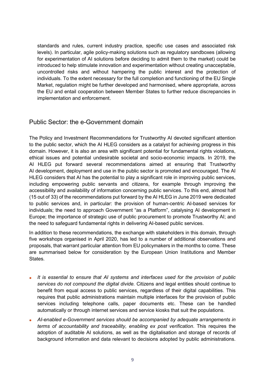standards and rules, current industry practice, specific use cases and associated risk levels). In particular, agile policy-making solutions such as regulatory sandboxes (allowing for experimentation of AI solutions before deciding to admit them to the market) could be introduced to help stimulate innovation and experimentation without creating unacceptable, uncontrolled risks and without hampering the public interest and the protection of individuals. To the extent necessary for the full completion and functioning of the EU Single Market, regulation might be further developed and harmonised, where appropriate, across the EU and entail cooperation between Member States to further reduce discrepancies in implementation and enforcement.

#### Public Sector: the e-Government domain

The Policy and Investment Recommendations for Trustworthy AI devoted significant attention to the public sector, which the AI HLEG considers as a catalyst for achieving progress in this domain. However, it is also an area with significant potential for fundamental rights violations, ethical issues and potential undesirable societal and socio-economic impacts. In 2019, the AI HLEG put forward several recommendations aimed at ensuring that Trustworthy AI development, deployment and use in the public sector is promoted and encouraged. The AI HLEG considers that AI has the potential to play a significant role in improving public services, including empowering public servants and citizens, for example through improving the accessibility and availability of information concerning public services. To this end, almost half (15 out of 33) of the recommendations put forward by the AI HLEG in June 2019 were dedicated to public services and, in particular: the provision of human-centric AI-based services for individuals; the need to approach Government "as a Platform", catalysing AI development in Europe; the importance of strategic use of public procurement to promote Trustworthy AI; and the need to safeguard fundamental rights in delivering AI-based public services.

In addition to these recommendations, the exchange with stakeholders in this domain, through five workshops organised in April 2020, has led to a number of additional observations and proposals, that warrant particular attention from EU policymakers in the months to come. These are summarised below for consideration by the European Union Institutions and Member States.

- x *It is essential to ensure that AI systems and interfaces used for the provision of public services do not compound the digital divide.* Citizens and legal entities should continue to benefit from equal access to public services, regardless of their digital capabilities. This requires that public administrations maintain multiple interfaces for the provision of public services including telephone calls, paper documents etc. These can be handled automatically or through internet services and service kiosks that suit the populations.
- x *AI-enabled e-Government services should be accompanied by adequate arrangements in terms of accountability and traceability, enabling ex post verification*. This requires the adoption of auditable AI solutions, as well as the digitalisation and storage of records of background information and data relevant to decisions adopted by public administrations.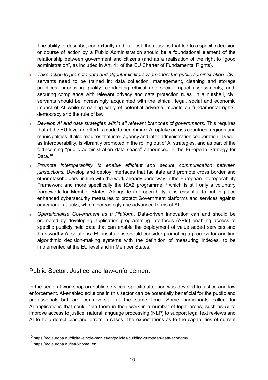The ability to describe, contextually and ex-post, the reasons that led to a specific decision or course of action by a Public Administration should be a foundational element of the relationship between government and citizens (and as a realisation of the right to "good administration", as included in Art. 41 of the EU Charter of Fundamental Rights).

- x *Take action to promote data and algorithmic literacy amongst the public administration.* Civil servants need to be trained in: data collection, management, cleaning and storage practices; prioritising quality, conducting ethical and social impact assessments; and, securing compliance with relevant privacy and data protection rules. In a nutshell, civil servants should be increasingly acquainted with the ethical, legal, social and economic impact of AI while remaining wary of potential adverse impacts on fundamental rights, democracy and the rule of law.
- x *Develop AI and data strategies within all relevant branches of governments.* This requires that at the EU level an effort is made to benchmark AI uptake across countries, regions and municipalities. It also requires that inter-agency and inter-administration cooperation, as well as interoperability, is vibrantly promoted in the rolling out of AI strategies, and as part of the forthcoming "public administration data space" announced in the European Strategy for Data.<sup>10</sup>
- x *Promote interoperability to enable efficient and secure communication between jurisdictions.* Develop and deploy interfaces that facilitate and promote cross border and other stakeholders, in line with the work already underway in the European Interoperability Framework and more specifically the ISA2 programme,<sup>11</sup> which is still only a voluntary framework for Member States. Alongside interoperability, it is essential to put in place enhanced cybersecurity measures to protect Government platforms and services against adversarial attacks, which increasingly use advanced forms of AI.
- x *Operationalise Government as a Platform.* Data-driven innovation can and should be promoted by developing application programming interfaces (APIs) enabling access to specific publicly held data that can enable the deployment of value added services and Trustworthy AI solutions. EU institutions should consider promoting a process for auditing algorithmic decision-making systems with the definition of measuring indexes, to be implemented at the EU level and in Member States.

### Public Sector: Justice and law-enforcement

In the sectoral workshop on public services, specific attention was devoted to justice and law enforcement. AI-enabled solutions in this sector can be potentially beneficial for the public and professionals, but are controversial at the same time. Some participants called for AI-applications that could help them in their work in a number of legal areas, such as AI to improve access to justice, natural language processing (NLP) to support legal text reviews and AI to help detect bias and errors in cases. The expectations as to the capabilities of current

 <sup>10</sup> https://ec.europa.eu/digital-single-market/en/policies/building-european-data-economy.

<sup>11</sup> https://ec.europa.eu/isa2/home\_en.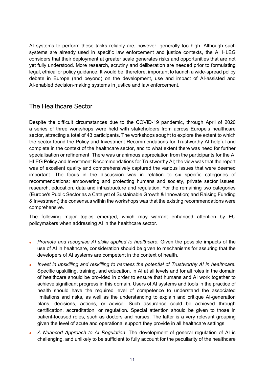AI systems to perform these tasks reliably are, however, generally too high. Although such systems are already used in specific law enforcement and justice contexts, the AI HLEG considers that their deployment at greater scale generates risks and opportunities that are not yet fully understood. More research, scrutiny and deliberation are needed prior to formulating legal, ethical or policy guidance. It would be, therefore, important to launch a wide-spread policy debate in Europe (and beyond) on the development, use and impact of AI-assisted and AI-enabled decision-making systems in justice and law enforcement.

### The Healthcare Sector

Despite the difficult circumstances due to the COVID-19 pandemic, through April of 2020 a series of three workshops were held with stakeholders from across Europe's healthcare sector, attracting a total of 43 participants. The workshops sought to explore the extent to which the sector found the Policy and Investment Recommendations for Trustworthy AI helpful and complete in the context of the healthcare sector, and to what extent there was need for further specialisation or refinement. There was unanimous appreciation from the participants for the AI HLEG Policy and Investment Recommendations for Trustworthy AI; the view was that the report was of excellent quality and comprehensively captured the various issues that were deemed important. The focus in the discussion was in relation to six specific categories of recommendations: empowering and protecting humans and society, private sector issues, research, education, data and infrastructure and regulation. For the remaining two categories (Europe's Public Sector as a Catalyst of Sustainable Growth & Innovation; and Raising Funding & Investment) the consensus within the workshops was that the existing recommendations were comprehensive.

The following major topics emerged, which may warrant enhanced attention by EU policymakers when addressing AI in the healthcare sector.

- **•** *Promote and recognise AI skills applied to healthcare.* Given the possible impacts of the use of AI in healthcare, consideration should be given to mechanisms for assuring that the developers of AI systems are competent in the context of health.
- x *Invest in upskilling and reskilling to harness the potential of Trustworthy AI in healthcare.* Specific upskilling, training, and education, in AI at all levels and for all roles in the domain of healthcare should be provided in order to ensure that humans and AI work together to achieve significant progress in this domain. Users of AI systems and tools in the practice of health should have the required level of competence to understand the associated limitations and risks, as well as the understanding to explain and critique AI-generation plans, decisions, actions, or advice. Such assurance could be achieved through certification, accreditation, or regulation. Special attention should be given to those in patient-focused roles, such as doctors and nurses. The latter is a very relevant grouping given the level of acute and operational support they provide in all healthcare settings.
- **A** Nuanced Approach to AI Regulation. The development of general regulation of AI is challenging, and unlikely to be sufficient to fully account for the peculiarity of the healthcare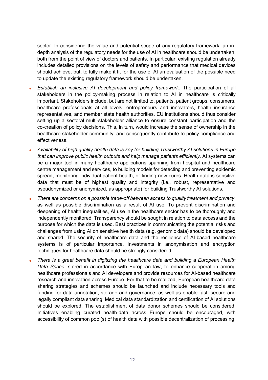sector. In considering the value and potential scope of any regulatory framework, an indepth analysis of the regulatory needs for the use of AI in healthcare should be undertaken, both from the point of view of doctors and patients. In particular, existing regulation already includes detailed provisions on the levels of safety and performance that medical devices should achieve, but, to fully make it fit for the use of AI an evaluation of the possible need to update the existing regulatory framework should be undertaken.

- x *Establish an inclusive AI development and policy framework.* The participation of all stakeholders in the policy-making process in relation to AI in healthcare is critically important. Stakeholders include, but are not limited to, patients, patient groups, consumers, healthcare professionals at all levels, entrepreneurs and innovators, health insurance representatives, and member state health authorities. EU institutions should thus consider setting up a sectoral multi-stakeholder alliance to ensure constant participation and the co-creation of policy decisions. This, in turn, would increase the sense of ownership in the healthcare stakeholder community, and consequently contribute to policy compliance and effectiveness.
- x *Availability of high quality health data is key for building Trustworthy AI solutions in Europe that can improve public health outputs and help manage patients efficiently.* AI systems can be a major tool in many healthcare applications spanning from hospital and healthcare centre management and services, to building models for detecting and preventing epidemic spread, monitoring individual patient health, or finding new cures. Health data is sensitive data that must be of highest quality and integrity (i.e., robust, representative and pseudonymized or anonymized, as appropriate) for building Trustworthy AI solutions.
- x *There are concerns on a possible trade-off between access to quality treatment and privacy*, as well as possible discrimination as a result of AI use. To prevent discrimination and deepening of health inequalities, AI use in the healthcare sector has to be thoroughly and independently monitored. Transparency should be sought in relation to data access and the purpose for which the data is used. Best practices in communicating the potential risks and challenges from using AI on sensitive health data (e.g. genomic data) should be developed and shared. The security of healthcare data and the resilience of AI-based healthcare systems is of particular importance. Investments in anonymisation and encryption techniques for healthcare data should be strongly considered.
- x *There is a great benefit in digitizing the healthcare data and building a European Health Data Space*, stored in accordance with European law, to enhance cooperation among healthcare professionals and AI developers and provide resources for AI-based healthcare research and innovation across Europe. For that to be realized, European healthcare data sharing strategies and schemes should be launched and include necessary tools and funding for data annotation, storage and governance, as well as enable fast, secure and legally compliant data sharing. Medical data standardization and certification of AI solutions should be explored. The establishment of data donor schemes should be considered. Initiatives enabling curated health-data across Europe should be encouraged, with accessibility of common pool(s) of health data with possible decentralization of processing.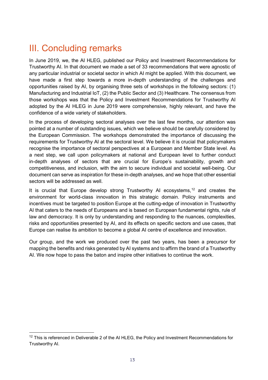## III. Concluding remarks

In June 2019, we, the AI HLEG, published our Policy and Investment Recommendations for Trustworthy AI. In that document we made a set of 33 recommendations that were agnostic of any particular industrial or societal sector in which AI might be applied. With this document, we have made a first step towards a more in-depth understanding of the challenges and opportunities raised by AI, by organising three sets of workshops in the following sectors: (1) Manufacturing and Industrial IoT, (2) the Public Sector and (3) Healthcare. The consensus from those workshops was that the Policy and Investment Recommendations for Trustworthy AI adopted by the AI HLEG in June 2019 were comprehensive, highly relevant, and have the confidence of a wide variety of stakeholders.

In the process of developing sectoral analyses over the last few months, our attention was pointed at a number of outstanding issues, which we believe should be carefully considered by the European Commission. The workshops demonstrated the importance of discussing the requirements for Trustworthy AI at the sectoral level. We believe it is crucial that policymakers recognise the importance of sectoral perspectives at a European and Member State level. As a next step, we call upon policymakers at national and European level to further conduct in-depth analyses of sectors that are crucial for Europe's sustainability, growth and competitiveness, and inclusion, with the aim to secure individual and societal well-being. Our document can serve as inspiration for these in-depth analyses, and we hope that other essential sectors will be addressed as well.

It is crucial that Europe develop strong Trustworthy AI ecosystems,<sup>12</sup> and creates the environment for world-class innovation in this strategic domain. Policy instruments and incentives must be targeted to position Europe at the cutting-edge of innovation in Trustworthy AI that caters to the needs of Europeans and is based on European fundamental rights, rule of law and democracy. It is only by understanding and responding to the nuances, complexities, risks and opportunities presented by AI, and its effects on specific sectors and use cases, that Europe can realise its ambition to become a global AI centre of excellence and innovation.

Our group, and the work we produced over the past two years, has been a precursor for mapping the benefits and risks generated by AI systems and to affirm the brand of a Trustworthy AI. We now hope to pass the baton and inspire other initiatives to continue the work.

 $12$  This is referenced in Deliverable 2 of the AI HLEG, the Policy and Investment Recommendations for Trustworthy AI.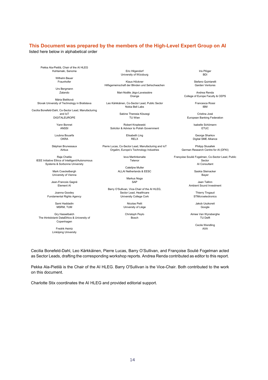#### **This Document was prepared by the members of the High-Level Expert Group on AI**

listed here below in alphabetical order

Pekka Ala-Pietilä, Chair of the AI HLEG Huhtamaki, Sanoma

> Wilhelm Bauer Fraunhofer

Urs Bergmann Zalando

Mária Bieliková Slovak University of Technology in Bratislava

Cecilia Bonefeld-Dahl, Co-Sector Lead, Manufacturing and IoT DIGITALEUROPE

Yann Bonnet

ANSSI

Loubna Bouarfa OKRA

Stéphan Brunessaux Airbus

Raja Chatila IEEE Initiative Ethics of Intelligent/Autonomous Systems & Sorbonne University

> Mark Coeckelbergh University of Vienna

Jean-Francois Gagné Element AI

Joanna Goodey Fundamental Rights Agency

> Sami Haddadin MSRM, TUM

Gry Hasselbalch The thinkdotank DataEthics & University of Copenhagen

> Fredrik Heintz Linköping University

Eric Hilgendorf University of Würzburg

Klaus Höckner Hilfsgemeinschaft der Blinden und Sehschwachen

> Mari-Noëlle Jégo-Laveissière Orange

Leo Kärkkäinen, Co-Sector Lead, Public Sector Nokia Bell Labs

> Sabine Theresia Köszegi TU Wien

Robert Kroplewski Solicitor & Advisor to Polish Government

> Elisabeth Ling RELX

Pierre Lucas, Co-Sector Lead, Manufacturing and IoT Orgalim, Europe's Technology Industries

> Ieva Martinkenaite Telenor

Catelijne Muller ALLAI Netherlands & EESC

> Markus Noga **CAP**

Barry O'Sullivan, Vice-Chair of the AI HLEG, Sector Lead, Healthcare University College Cork

> Nicolas Petit University of Liège

Christoph Peylo Bosch

Iris Plöger R<sub>DI</sub>

Stefano Quintarelli Garden Ventures

Andrea Renda College of Europe Faculty & CEPS

> Francesca Rossi IBM

Cristina José European Banking Federation

> Isabelle Schömann **ETUC**

George Sharkov Digital SME Alliance

Philipp Slusallek German Research Centre for AI (DFKI)

Françoise Soulié Fogelman, Co-Sector Lead, Public Sector AI Consultant

Saskia Steinacker

Bayer

Jaan Tallinn Ambient Sound Investment

> Thierry Tingaud **STMicroelectronics**

Jakob Uszkoreit Google

Aimee Van Wynsberghe TU Delft

> Cecile Wendling AXA

Cecilia Bonefeld-Dahl, Leo Kärkkäinen, Pierre Lucas, Barry O'Sullivan, and Françoise Soulié Fogelman acted as Sector Leads, drafting the corresponding workshop reports. Andrea Renda contributed as editor to this report.

Pekka Ala-Pietilä is the Chair of the AI HLEG. Barry O'Sullivan is the Vice-Chair. Both contributed to the work on this document.

Charlotte Stix coordinates the AI HLEG and provided editorial support.